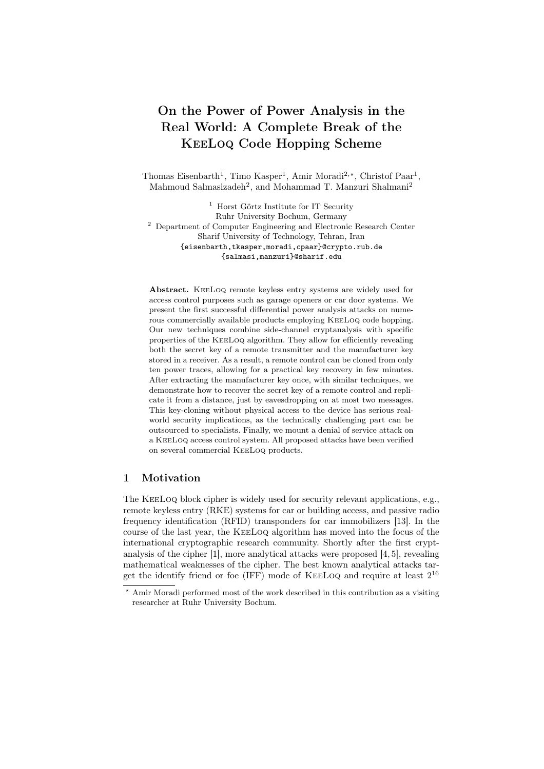# On the Power of Power Analysis in the Real World: A Complete Break of the KeeLoq Code Hopping Scheme

Thomas Eisenbarth<sup>1</sup>, Timo Kasper<sup>1</sup>, Amir Moradi<sup>2,\*</sup>, Christof Paar<sup>1</sup>, Mahmoud Salmasizadeh<sup>2</sup>, and Mohammad T. Manzuri Shalmani<sup>2</sup>

<sup>1</sup> Horst Görtz Institute for IT Security Ruhr University Bochum, Germany <sup>2</sup> Department of Computer Engineering and Electronic Research Center Sharif University of Technology, Tehran, Iran {eisenbarth,tkasper,moradi,cpaar}@crypto.rub.de {salmasi,manzuri}@sharif.edu

Abstract. KeeLoq remote keyless entry systems are widely used for access control purposes such as garage openers or car door systems. We present the first successful differential power analysis attacks on numerous commercially available products employing KeeLoq code hopping. Our new techniques combine side-channel cryptanalysis with specific properties of the KeeLoq algorithm. They allow for efficiently revealing both the secret key of a remote transmitter and the manufacturer key stored in a receiver. As a result, a remote control can be cloned from only ten power traces, allowing for a practical key recovery in few minutes. After extracting the manufacturer key once, with similar techniques, we demonstrate how to recover the secret key of a remote control and replicate it from a distance, just by eavesdropping on at most two messages. This key-cloning without physical access to the device has serious realworld security implications, as the technically challenging part can be outsourced to specialists. Finally, we mount a denial of service attack on a KeeLoq access control system. All proposed attacks have been verified on several commercial KeeLoq products.

# 1 Motivation

The KeeLoq block cipher is widely used for security relevant applications, e.g., remote keyless entry (RKE) systems for car or building access, and passive radio frequency identification (RFID) transponders for car immobilizers [13]. In the course of the last year, the KeeLoq algorithm has moved into the focus of the international cryptographic research community. Shortly after the first cryptanalysis of the cipher [1], more analytical attacks were proposed [4, 5], revealing mathematical weaknesses of the cipher. The best known analytical attacks target the identify friend or foe (IFF) mode of KeeLoq and require at least 2 16

Amir Moradi performed most of the work described in this contribution as a visiting researcher at Ruhr University Bochum.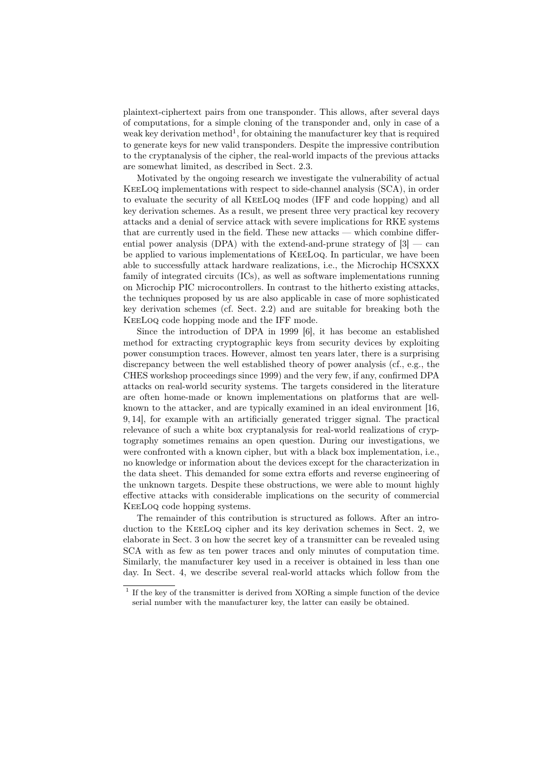plaintext-ciphertext pairs from one transponder. This allows, after several days of computations, for a simple cloning of the transponder and, only in case of a weak key derivation method<sup>1</sup>, for obtaining the manufacturer key that is required to generate keys for new valid transponders. Despite the impressive contribution to the cryptanalysis of the cipher, the real-world impacts of the previous attacks are somewhat limited, as described in Sect. 2.3.

Motivated by the ongoing research we investigate the vulnerability of actual KeeLoq implementations with respect to side-channel analysis (SCA), in order to evaluate the security of all KeeLoq modes (IFF and code hopping) and all key derivation schemes. As a result, we present three very practical key recovery attacks and a denial of service attack with severe implications for RKE systems that are currently used in the field. These new attacks — which combine differential power analysis (DPA) with the extend-and-prune strategy of  $[3]$  — can be applied to various implementations of KeeLoq. In particular, we have been able to successfully attack hardware realizations, i.e., the Microchip HCSXXX family of integrated circuits (ICs), as well as software implementations running on Microchip PIC microcontrollers. In contrast to the hitherto existing attacks, the techniques proposed by us are also applicable in case of more sophisticated key derivation schemes (cf. Sect. 2.2) and are suitable for breaking both the KeeLoq code hopping mode and the IFF mode.

Since the introduction of DPA in 1999 [6], it has become an established method for extracting cryptographic keys from security devices by exploiting power consumption traces. However, almost ten years later, there is a surprising discrepancy between the well established theory of power analysis (cf., e.g., the CHES workshop proceedings since 1999) and the very few, if any, confirmed DPA attacks on real-world security systems. The targets considered in the literature are often home-made or known implementations on platforms that are wellknown to the attacker, and are typically examined in an ideal environment [16, 9, 14], for example with an artificially generated trigger signal. The practical relevance of such a white box cryptanalysis for real-world realizations of cryptography sometimes remains an open question. During our investigations, we were confronted with a known cipher, but with a black box implementation, i.e., no knowledge or information about the devices except for the characterization in the data sheet. This demanded for some extra efforts and reverse engineering of the unknown targets. Despite these obstructions, we were able to mount highly effective attacks with considerable implications on the security of commercial KeeLoq code hopping systems.

The remainder of this contribution is structured as follows. After an introduction to the KeeLoq cipher and its key derivation schemes in Sect. 2, we elaborate in Sect. 3 on how the secret key of a transmitter can be revealed using SCA with as few as ten power traces and only minutes of computation time. Similarly, the manufacturer key used in a receiver is obtained in less than one day. In Sect. 4, we describe several real-world attacks which follow from the

<sup>&</sup>lt;sup>1</sup> If the key of the transmitter is derived from XORing a simple function of the device serial number with the manufacturer key, the latter can easily be obtained.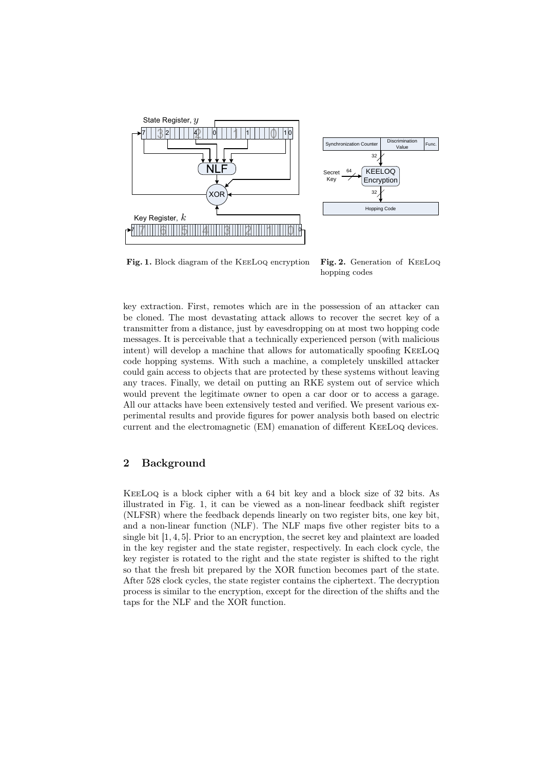

Fig. 1. Block diagram of the KeeLoq encryption Fig. 2. Generation of KeeLoq hopping codes

key extraction. First, remotes which are in the possession of an attacker can be cloned. The most devastating attack allows to recover the secret key of a transmitter from a distance, just by eavesdropping on at most two hopping code messages. It is perceivable that a technically experienced person (with malicious intent) will develop a machine that allows for automatically spoofing KeeLoq code hopping systems. With such a machine, a completely unskilled attacker could gain access to objects that are protected by these systems without leaving any traces. Finally, we detail on putting an RKE system out of service which would prevent the legitimate owner to open a car door or to access a garage. All our attacks have been extensively tested and verified. We present various experimental results and provide figures for power analysis both based on electric current and the electromagnetic (EM) emanation of different KeeLoq devices.

# 2 Background

KeeLoq is a block cipher with a 64 bit key and a block size of 32 bits. As illustrated in Fig. 1, it can be viewed as a non-linear feedback shift register (NLFSR) where the feedback depends linearly on two register bits, one key bit, and a non-linear function (NLF). The NLF maps five other register bits to a single bit [1, 4, 5]. Prior to an encryption, the secret key and plaintext are loaded in the key register and the state register, respectively. In each clock cycle, the key register is rotated to the right and the state register is shifted to the right so that the fresh bit prepared by the XOR function becomes part of the state. After 528 clock cycles, the state register contains the ciphertext. The decryption process is similar to the encryption, except for the direction of the shifts and the taps for the NLF and the XOR function.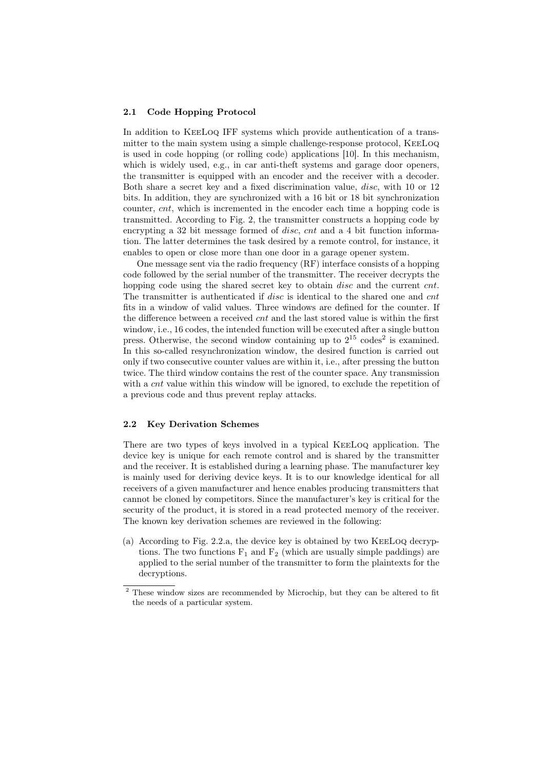### 2.1 Code Hopping Protocol

In addition to KeeLoq IFF systems which provide authentication of a transmitter to the main system using a simple challenge-response protocol, KeeLoq is used in code hopping (or rolling code) applications [10]. In this mechanism, which is widely used, e.g., in car anti-theft systems and garage door openers, the transmitter is equipped with an encoder and the receiver with a decoder. Both share a secret key and a fixed discrimination value, disc, with 10 or 12 bits. In addition, they are synchronized with a 16 bit or 18 bit synchronization counter, cnt, which is incremented in the encoder each time a hopping code is transmitted. According to Fig. 2, the transmitter constructs a hopping code by encrypting a 32 bit message formed of  $disc, ent$  and a 4 bit function information. The latter determines the task desired by a remote control, for instance, it enables to open or close more than one door in a garage opener system.

One message sent via the radio frequency (RF) interface consists of a hopping code followed by the serial number of the transmitter. The receiver decrypts the hopping code using the shared secret key to obtain *disc* and the current *cnt*. The transmitter is authenticated if *disc* is identical to the shared one and *cnt* fits in a window of valid values. Three windows are defined for the counter. If the difference between a received *cnt* and the last stored value is within the first window, i.e., 16 codes, the intended function will be executed after a single button press. Otherwise, the second window containing up to  $2^{15}$  codes<sup>2</sup> is examined. In this so-called resynchronization window, the desired function is carried out only if two consecutive counter values are within it, i.e., after pressing the button twice. The third window contains the rest of the counter space. Any transmission with a *cnt* value within this window will be ignored, to exclude the repetition of a previous code and thus prevent replay attacks.

# 2.2 Key Derivation Schemes

There are two types of keys involved in a typical KeeLoq application. The device key is unique for each remote control and is shared by the transmitter and the receiver. It is established during a learning phase. The manufacturer key is mainly used for deriving device keys. It is to our knowledge identical for all receivers of a given manufacturer and hence enables producing transmitters that cannot be cloned by competitors. Since the manufacturer's key is critical for the security of the product, it is stored in a read protected memory of the receiver. The known key derivation schemes are reviewed in the following:

(a) According to Fig. 2.2.a, the device key is obtained by two KeeLoq decryptions. The two functions  $F_1$  and  $F_2$  (which are usually simple paddings) are applied to the serial number of the transmitter to form the plaintexts for the decryptions.

<sup>2</sup> These window sizes are recommended by Microchip, but they can be altered to fit the needs of a particular system.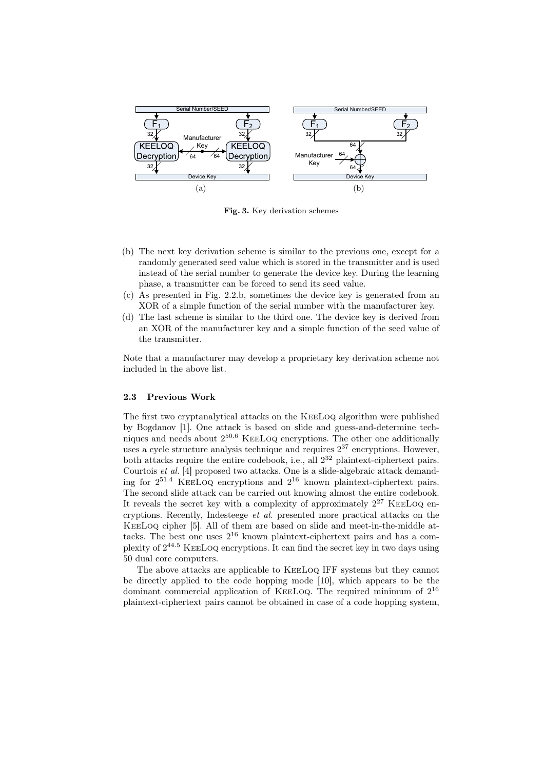

Fig. 3. Key derivation schemes

- (b) The next key derivation scheme is similar to the previous one, except for a randomly generated seed value which is stored in the transmitter and is used instead of the serial number to generate the device key. During the learning phase, a transmitter can be forced to send its seed value.
- (c) As presented in Fig. 2.2.b, sometimes the device key is generated from an XOR of a simple function of the serial number with the manufacturer key.
- (d) The last scheme is similar to the third one. The device key is derived from an XOR of the manufacturer key and a simple function of the seed value of the transmitter.

Note that a manufacturer may develop a proprietary key derivation scheme not included in the above list.

## 2.3 Previous Work

The first two cryptanalytical attacks on the KeeLoq algorithm were published by Bogdanov [1]. One attack is based on slide and guess-and-determine techniques and needs about 2 <sup>50</sup>.<sup>6</sup> KeeLoq encryptions. The other one additionally uses a cycle structure analysis technique and requires  $2^{37}$  encryptions. However, both attacks require the entire codebook, i.e., all  $2^{32}$  plaintext-ciphertext pairs. Courtois et al. [4] proposed two attacks. One is a slide-algebraic attack demanding for 2 <sup>51</sup>.<sup>4</sup> KeeLoq encryptions and 2 <sup>16</sup> known plaintext-ciphertext pairs. The second slide attack can be carried out knowing almost the entire codebook. It reveals the secret key with a complexity of approximately  $2^{27}$  KEELOQ encryptions. Recently, Indesteege et al. presented more practical attacks on the KeeLoq cipher [5]. All of them are based on slide and meet-in-the-middle attacks. The best one uses 2 <sup>16</sup> known plaintext-ciphertext pairs and has a complexity of 2 <sup>44</sup>.<sup>5</sup> KeeLoq encryptions. It can find the secret key in two days using 50 dual core computers.

The above attacks are applicable to KEELOQ IFF systems but they cannot be directly applied to the code hopping mode [10], which appears to be the dominant commercial application of KEELOQ. The required minimum of  $2^{16}$ plaintext-ciphertext pairs cannot be obtained in case of a code hopping system,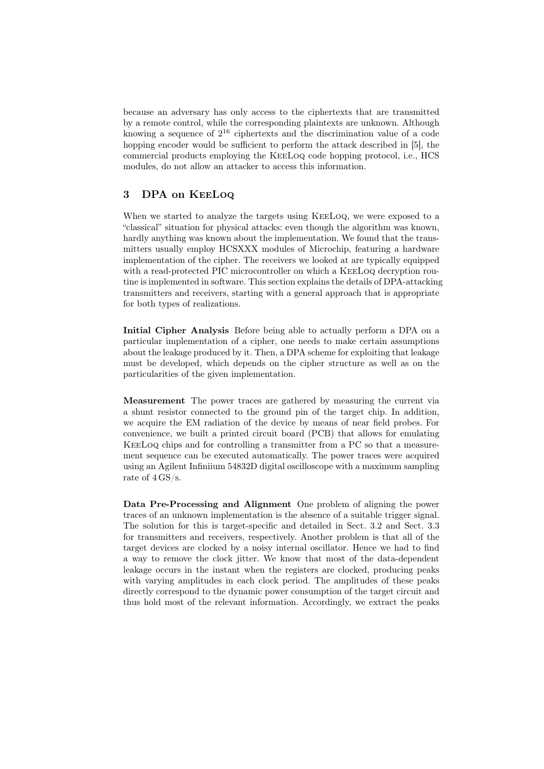because an adversary has only access to the ciphertexts that are transmitted by a remote control, while the corresponding plaintexts are unknown. Although knowing a sequence of 2 <sup>16</sup> ciphertexts and the discrimination value of a code hopping encoder would be sufficient to perform the attack described in [5], the commercial products employing the KeeLoq code hopping protocol, i.e., HCS modules, do not allow an attacker to access this information.

# 3 DPA on KeeLoq

When we started to analyze the targets using KEELOQ, we were exposed to a "classical" situation for physical attacks: even though the algorithm was known, hardly anything was known about the implementation. We found that the transmitters usually employ HCSXXX modules of Microchip, featuring a hardware implementation of the cipher. The receivers we looked at are typically equipped with a read-protected PIC microcontroller on which a KEELOQ decryption routine is implemented in software. This section explains the details of DPA-attacking transmitters and receivers, starting with a general approach that is appropriate for both types of realizations.

Initial Cipher Analysis Before being able to actually perform a DPA on a particular implementation of a cipher, one needs to make certain assumptions about the leakage produced by it. Then, a DPA scheme for exploiting that leakage must be developed, which depends on the cipher structure as well as on the particularities of the given implementation.

Measurement The power traces are gathered by measuring the current via a shunt resistor connected to the ground pin of the target chip. In addition, we acquire the EM radiation of the device by means of near field probes. For convenience, we built a printed circuit board (PCB) that allows for emulating KeeLoq chips and for controlling a transmitter from a PC so that a measurement sequence can be executed automatically. The power traces were acquired using an Agilent Infiniium 54832D digital oscilloscope with a maximum sampling rate of 4 GS/s.

Data Pre-Processing and Alignment One problem of aligning the power traces of an unknown implementation is the absence of a suitable trigger signal. The solution for this is target-specific and detailed in Sect. 3.2 and Sect. 3.3 for transmitters and receivers, respectively. Another problem is that all of the target devices are clocked by a noisy internal oscillator. Hence we had to find a way to remove the clock jitter. We know that most of the data-dependent leakage occurs in the instant when the registers are clocked, producing peaks with varying amplitudes in each clock period. The amplitudes of these peaks directly correspond to the dynamic power consumption of the target circuit and thus hold most of the relevant information. Accordingly, we extract the peaks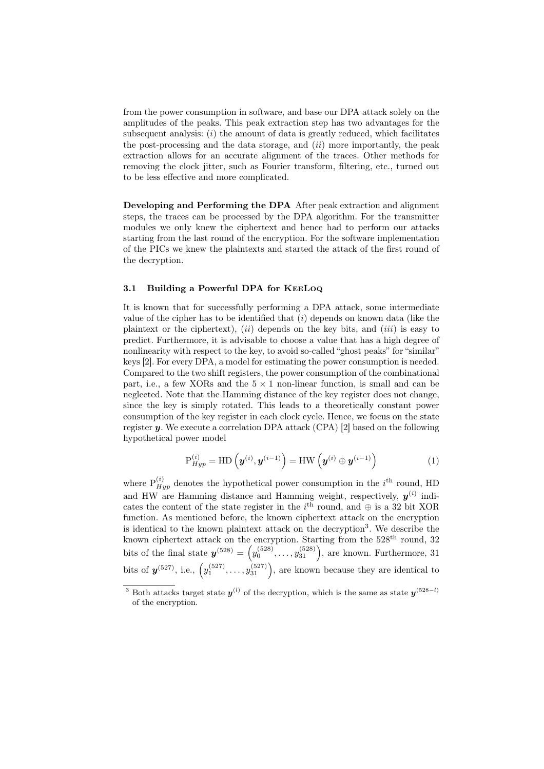from the power consumption in software, and base our DPA attack solely on the amplitudes of the peaks. This peak extraction step has two advantages for the subsequent analysis:  $(i)$  the amount of data is greatly reduced, which facilitates the post-processing and the data storage, and  $(ii)$  more importantly, the peak extraction allows for an accurate alignment of the traces. Other methods for removing the clock jitter, such as Fourier transform, filtering, etc., turned out to be less effective and more complicated.

Developing and Performing the DPA After peak extraction and alignment steps, the traces can be processed by the DPA algorithm. For the transmitter modules we only knew the ciphertext and hence had to perform our attacks starting from the last round of the encryption. For the software implementation of the PICs we knew the plaintexts and started the attack of the first round of the decryption.

# 3.1 Building a Powerful DPA for KeeLoq

It is known that for successfully performing a DPA attack, some intermediate value of the cipher has to be identified that  $(i)$  depends on known data (like the plaintext or the ciphertext),  $(ii)$  depends on the key bits, and  $(iii)$  is easy to predict. Furthermore, it is advisable to choose a value that has a high degree of nonlinearity with respect to the key, to avoid so-called "ghost peaks" for "similar" keys [2]. For every DPA, a model for estimating the power consumption is needed. Compared to the two shift registers, the power consumption of the combinational part, i.e., a few XORs and the  $5 \times 1$  non-linear function, is small and can be neglected. Note that the Hamming distance of the key register does not change, since the key is simply rotated. This leads to a theoretically constant power consumption of the key register in each clock cycle. Hence, we focus on the state register  $\boldsymbol{y}$ . We execute a correlation DPA attack (CPA) [2] based on the following hypothetical power model

$$
P_{Hyp}^{(i)} = HD\left(\boldsymbol{y}^{(i)}, \boldsymbol{y}^{(i-1)}\right) = HW\left(\boldsymbol{y}^{(i)} \oplus \boldsymbol{y}^{(i-1)}\right)
$$
(1)

where  $P_{Hyp}^{(i)}$  denotes the hypothetical power consumption in the  $i<sup>th</sup>$  round, HD and HW are Hamming distance and Hamming weight, respectively,  $y^{(i)}$  indicates the content of the state register in the  $i<sup>th</sup>$  round, and  $\oplus$  is a 32 bit XOR function. As mentioned before, the known ciphertext attack on the encryption is identical to the known plaintext attack on the decryption<sup>3</sup>. We describe the known ciphertext attack on the encryption. Starting from the  $528<sup>th</sup>$  round, 32 bits of the final state  $y^{(528)} = (y_0^{(528)}, \ldots, y_{31}^{(528)})$ , are known. Furthermore, 31 bits of  $y^{(527)}$ , i.e.,  $\left(y_1^{(527)}, \ldots, y_{31}^{(527)}\right)$ , are known because they are identical to

<sup>&</sup>lt;sup>3</sup> Both attacks target state  $y^{(l)}$  of the decryption, which is the same as state  $y^{(528-l)}$ of the encryption.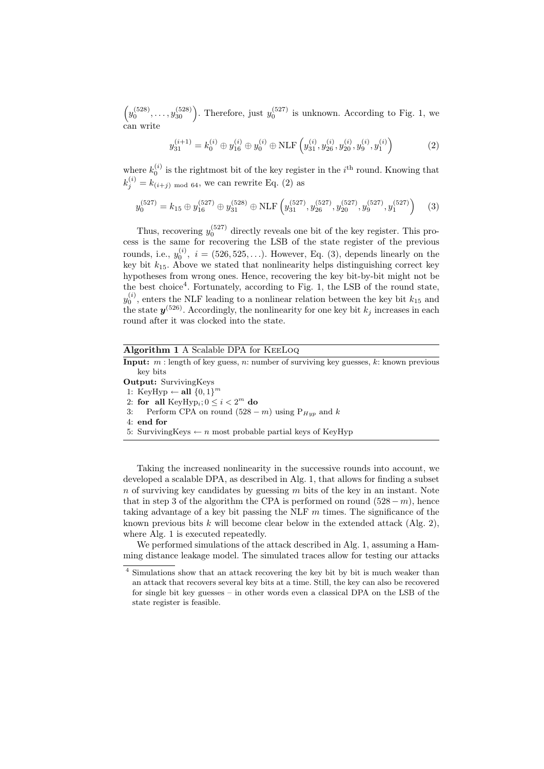$(y_0^{(528)}, \ldots, y_{30}^{(528)})$ . Therefore, just  $y_0^{(527)}$  is unknown. According to Fig. 1, we can write

$$
y_{31}^{(i+1)} = k_0^{(i)} \oplus y_{16}^{(i)} \oplus y_0^{(i)} \oplus \text{NLF}\left(y_{31}^{(i)}, y_{26}^{(i)}, y_{20}^{(i)}, y_9^{(i)}, y_1^{(i)}\right) \tag{2}
$$

where  $k_0^{(i)}$  is the rightmost bit of the key register in the  $i^{\text{th}}$  round. Knowing that  $k_j^{(i)} = k_{(i+j) \mod 64}$ , we can rewrite Eq. (2) as

$$
y_0^{(527)} = k_{15} \oplus y_{16}^{(527)} \oplus y_{31}^{(528)} \oplus \text{NLF}\left(y_{31}^{(527)}, y_{26}^{(527)}, y_{20}^{(527)}, y_9^{(527)}, y_1^{(527)}\right) \tag{3}
$$

Thus, recovering  $y_0^{(527)}$  directly reveals one bit of the key register. This process is the same for recovering the LSB of the state register of the previous rounds, i.e.,  $y_0^{(i)}$ ,  $i = (526, 525,...)$ . However, Eq. (3), depends linearly on the key bit  $k_{15}$ . Above we stated that nonlinearity helps distinguishing correct key hypotheses from wrong ones. Hence, recovering the key bit-by-bit might not be the best choice<sup>4</sup>. Fortunately, according to Fig. 1, the LSB of the round state,  $y_0^{(i)}$ , enters the NLF leading to a nonlinear relation between the key bit  $k_{15}$  and the state  $y^{(526)}$ . Accordingly, the nonlinearity for one key bit  $k_j$  increases in each round after it was clocked into the state.

Algorithm 1 A Scalable DPA for KeeLoq **Input:**  $m$ : length of key guess,  $n$ : number of surviving key guesses,  $k$ : known previous key bits Output: SurvivingKeys 1: KeyHyp  $\leftarrow$  all  $\{0,1\}^m$ 2: for all  $KeyHyp_i; 0 \leq i < 2^m$  do 3: Perform CPA on round  $(528 - m)$  using  $P_{Hyp}$  and k 4: end for 5: SurvivingKeys  $\leftarrow n$  most probable partial keys of KeyHyp

Taking the increased nonlinearity in the successive rounds into account, we developed a scalable DPA, as described in Alg. 1, that allows for finding a subset  $n$  of surviving key candidates by guessing  $m$  bits of the key in an instant. Note that in step 3 of the algorithm the CPA is performed on round  $(528 - m)$ , hence taking advantage of a key bit passing the NLF  $m$  times. The significance of the known previous bits k will become clear below in the extended attack  $(Alg. 2)$ , where Alg. 1 is executed repeatedly.

We performed simulations of the attack described in Alg. 1, assuming a Hamming distance leakage model. The simulated traces allow for testing our attacks

<sup>4</sup> Simulations show that an attack recovering the key bit by bit is much weaker than an attack that recovers several key bits at a time. Still, the key can also be recovered for single bit key guesses – in other words even a classical DPA on the LSB of the state register is feasible.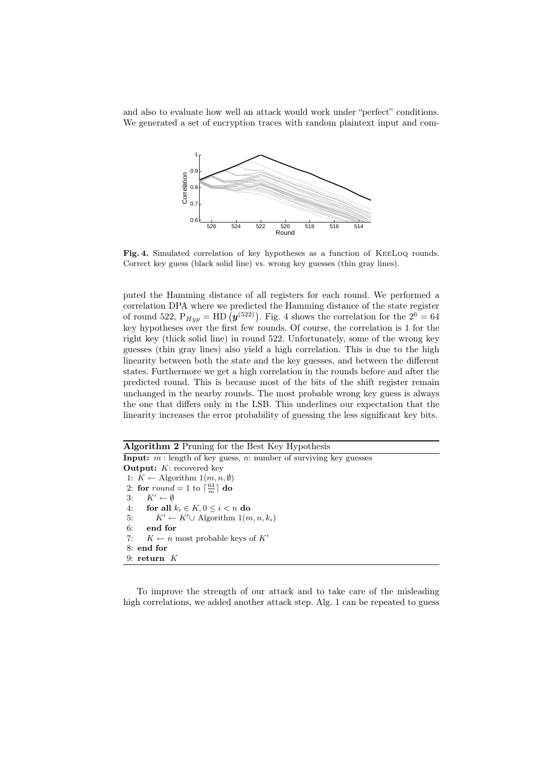and also to evaluate how well an attack would work under "perfect" conditions. We generated a set of encryption traces with random plaintext input and com-



Fig. 4. Simulated correlation of key hypotheses as a function of KeeLoq rounds. Correct key guess (black solid line) vs. wrong key guesses (thin gray lines).

puted the Hamming distance of all registers for each round. We performed a correlation DPA where we predicted the Hamming distance of the state register of round 522,  $P_{Hyp} = HD(y^{(522)})$ . Fig. 4 shows the correlation for the  $2^6 = 64$ key hypotheses over the first few rounds. Of course, the correlation is 1 for the right key (thick solid line) in round 522. Unfortunately, some of the wrong key guesses (thin gray lines) also yield a high correlation. This is due to the high linearity between both the state and the key guesses, and between the different states. Furthermore we get a high correlation in the rounds before and after the predicted round. This is because most of the bits of the shift register remain unchanged in the nearby rounds. The most probable wrong key guess is always the one that differs only in the LSB. This underlines our expectation that the linearity increases the error probability of guessing the less significant key bits.

Algorithm 2 Pruning for the Best Key Hypothesis **Input:**  $m$  : length of key guess,  $n$ : number of surviving key guesses **Output:**  $K:$  recovered key 1:  $K \leftarrow$  Algorithm  $1(m, n, \emptyset)$ 2: for  $round = 1$  to  $\lceil \frac{64}{m} \rceil$  do 3:  $K' \leftarrow \emptyset$ 4: for all  $k_i \in K$ ,  $0 \le i \le n$  do 5:  $K' \leftarrow K' \cup$  Algorithm  $1(m, n, k_i)$ 6: end for 7:  $K \leftarrow n$  most probable keys of K' 8: end for 9: return K

To improve the strength of our attack and to take care of the misleading high correlations, we added another attack step. Alg. 1 can be repeated to guess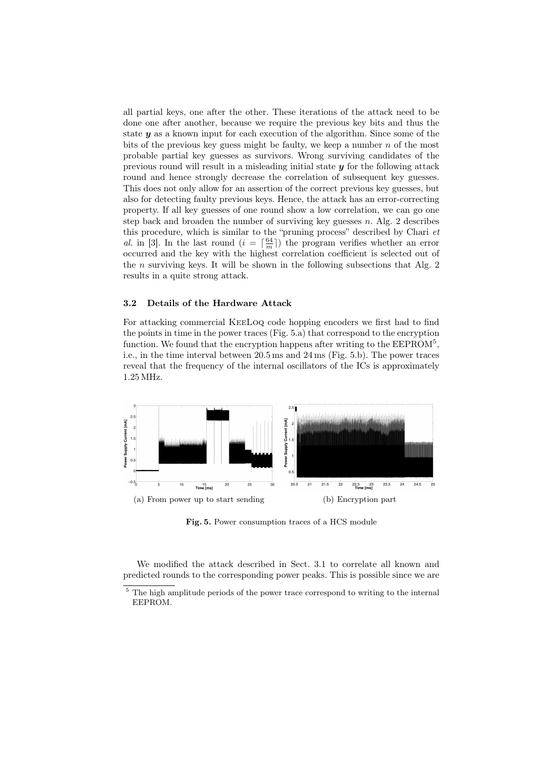all partial keys, one after the other. These iterations of the attack need to be done one after another, because we require the previous key bits and thus the state  $y$  as a known input for each execution of the algorithm. Since some of the bits of the previous key guess might be faulty, we keep a number  $n$  of the most probable partial key guesses as survivors. Wrong surviving candidates of the previous round will result in a misleading initial state  $y$  for the following attack round and hence strongly decrease the correlation of subsequent key guesses. This does not only allow for an assertion of the correct previous key guesses, but also for detecting faulty previous keys. Hence, the attack has an error-correcting property. If all key guesses of one round show a low correlation, we can go one step back and broaden the number of surviving key guesses  $n$ . Alg. 2 describes this procedure, which is similar to the "pruning process" described by Chari et al. in [3]. In the last round  $(i = \lceil \frac{64}{m} \rceil)$  the program verifies whether an error occurred and the key with the highest correlation coefficient is selected out of the  $n$  surviving keys. It will be shown in the following subsections that Alg. 2 results in a quite strong attack.

# 3.2 Details of the Hardware Attack

For attacking commercial KeeLoq code hopping encoders we first had to find the points in time in the power traces (Fig. 5.a) that correspond to the encryption function. We found that the encryption happens after writing to the  $EEPROM<sup>5</sup>$ , i.e., in the time interval between 20.5 ms and 24 ms (Fig. 5.b). The power traces reveal that the frequency of the internal oscillators of the ICs is approximately 1.25 MHz.



Fig. 5. Power consumption traces of a HCS module

We modified the attack described in Sect. 3.1 to correlate all known and predicted rounds to the corresponding power peaks. This is possible since we are

<sup>5</sup> The high amplitude periods of the power trace correspond to writing to the internal EEPROM.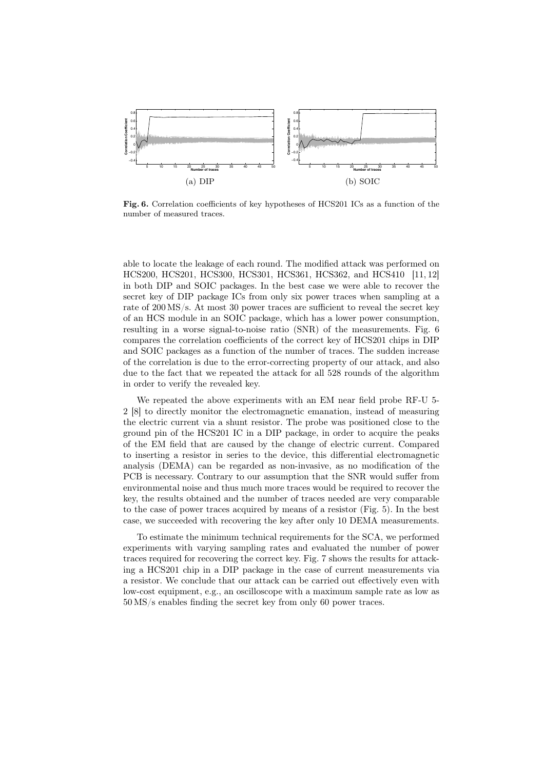

Fig. 6. Correlation coefficients of key hypotheses of HCS201 ICs as a function of the number of measured traces.

able to locate the leakage of each round. The modified attack was performed on HCS200, HCS201, HCS300, HCS301, HCS361, HCS362, and HCS410 [11, 12] in both DIP and SOIC packages. In the best case we were able to recover the secret key of DIP package ICs from only six power traces when sampling at a rate of 200 MS/s. At most 30 power traces are sufficient to reveal the secret key of an HCS module in an SOIC package, which has a lower power consumption, resulting in a worse signal-to-noise ratio (SNR) of the measurements. Fig. 6 compares the correlation coefficients of the correct key of HCS201 chips in DIP and SOIC packages as a function of the number of traces. The sudden increase of the correlation is due to the error-correcting property of our attack, and also due to the fact that we repeated the attack for all 528 rounds of the algorithm in order to verify the revealed key.

We repeated the above experiments with an EM near field probe RF-U 5- 2 [8] to directly monitor the electromagnetic emanation, instead of measuring the electric current via a shunt resistor. The probe was positioned close to the ground pin of the HCS201 IC in a DIP package, in order to acquire the peaks of the EM field that are caused by the change of electric current. Compared to inserting a resistor in series to the device, this differential electromagnetic analysis (DEMA) can be regarded as non-invasive, as no modification of the PCB is necessary. Contrary to our assumption that the SNR would suffer from environmental noise and thus much more traces would be required to recover the key, the results obtained and the number of traces needed are very comparable to the case of power traces acquired by means of a resistor (Fig. 5). In the best case, we succeeded with recovering the key after only 10 DEMA measurements.

To estimate the minimum technical requirements for the SCA, we performed experiments with varying sampling rates and evaluated the number of power traces required for recovering the correct key. Fig. 7 shows the results for attacking a HCS201 chip in a DIP package in the case of current measurements via a resistor. We conclude that our attack can be carried out effectively even with low-cost equipment, e.g., an oscilloscope with a maximum sample rate as low as 50 MS/s enables finding the secret key from only 60 power traces.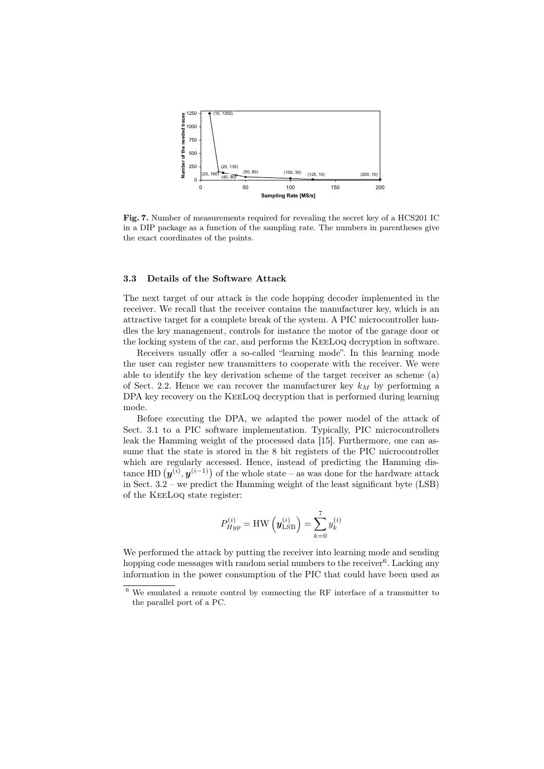

Fig. 7. Number of measurements required for revealing the secret key of a HCS201 IC in a DIP package as a function of the sampling rate. The numbers in parentheses give the exact coordinates of the points.

#### 3.3 Details of the Software Attack

The next target of our attack is the code hopping decoder implemented in the receiver. We recall that the receiver contains the manufacturer key, which is an attractive target for a complete break of the system. A PIC microcontroller handles the key management, controls for instance the motor of the garage door or the locking system of the car, and performs the KeeLoq decryption in software.

Receivers usually offer a so-called "learning mode". In this learning mode the user can register new transmitters to cooperate with the receiver. We were able to identify the key derivation scheme of the target receiver as scheme (a) of Sect. 2.2. Hence we can recover the manufacturer key  $k_M$  by performing a DPA key recovery on the KeeLoq decryption that is performed during learning mode.

Before executing the DPA, we adapted the power model of the attack of Sect. 3.1 to a PIC software implementation. Typically, PIC microcontrollers leak the Hamming weight of the processed data [15]. Furthermore, one can assume that the state is stored in the 8 bit registers of the PIC microcontroller which are regularly accessed. Hence, instead of predicting the Hamming distance  $\text{HD}\left(\bm{y}^{(\bar{i})}, \bm{y}^{(i-1)}\right)$  of the whole state – as was done for the hardware attack in Sect.  $3.2$  – we predict the Hamming weight of the least significant byte (LSB) of the KeeLoq state register:

$$
P_{Hyp}^{(i)} = \mathrm{HW}\left(\boldsymbol{y}_{\mathrm{LSB}}^{(i)}\right) = \sum_{k=0}^{7} y_{k}^{(i)}
$$

We performed the attack by putting the receiver into learning mode and sending hopping code messages with random serial numbers to the receiver<sup>6</sup>. Lacking any information in the power consumption of the PIC that could have been used as

 $^6$  We emulated a remote control by connecting the RF interface of a transmitter to the parallel port of a PC.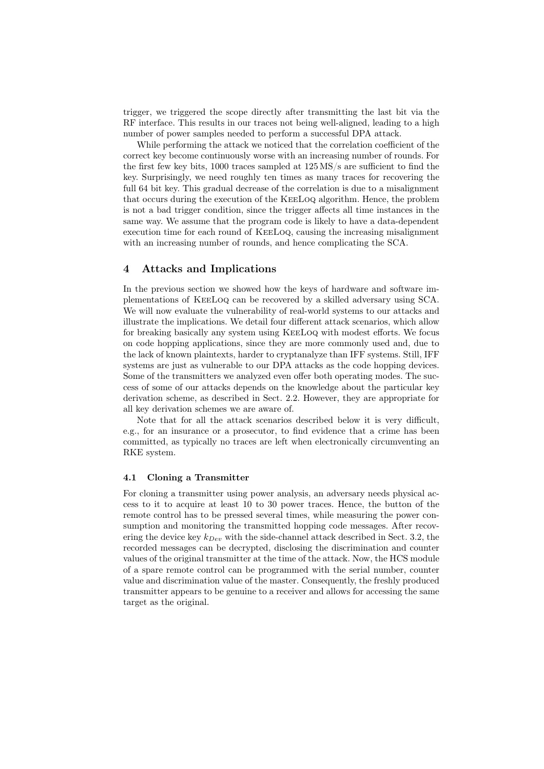trigger, we triggered the scope directly after transmitting the last bit via the RF interface. This results in our traces not being well-aligned, leading to a high number of power samples needed to perform a successful DPA attack.

While performing the attack we noticed that the correlation coefficient of the correct key become continuously worse with an increasing number of rounds. For the first few key bits, 1000 traces sampled at 125 MS/s are sufficient to find the key. Surprisingly, we need roughly ten times as many traces for recovering the full 64 bit key. This gradual decrease of the correlation is due to a misalignment that occurs during the execution of the KeeLoq algorithm. Hence, the problem is not a bad trigger condition, since the trigger affects all time instances in the same way. We assume that the program code is likely to have a data-dependent execution time for each round of KeeLoq, causing the increasing misalignment with an increasing number of rounds, and hence complicating the SCA.

# 4 Attacks and Implications

In the previous section we showed how the keys of hardware and software implementations of KeeLoq can be recovered by a skilled adversary using SCA. We will now evaluate the vulnerability of real-world systems to our attacks and illustrate the implications. We detail four different attack scenarios, which allow for breaking basically any system using KeeLoq with modest efforts. We focus on code hopping applications, since they are more commonly used and, due to the lack of known plaintexts, harder to cryptanalyze than IFF systems. Still, IFF systems are just as vulnerable to our DPA attacks as the code hopping devices. Some of the transmitters we analyzed even offer both operating modes. The success of some of our attacks depends on the knowledge about the particular key derivation scheme, as described in Sect. 2.2. However, they are appropriate for all key derivation schemes we are aware of.

Note that for all the attack scenarios described below it is very difficult, e.g., for an insurance or a prosecutor, to find evidence that a crime has been committed, as typically no traces are left when electronically circumventing an RKE system.

### 4.1 Cloning a Transmitter

For cloning a transmitter using power analysis, an adversary needs physical access to it to acquire at least 10 to 30 power traces. Hence, the button of the remote control has to be pressed several times, while measuring the power consumption and monitoring the transmitted hopping code messages. After recovering the device key  $k_{Dev}$  with the side-channel attack described in Sect. 3.2, the recorded messages can be decrypted, disclosing the discrimination and counter values of the original transmitter at the time of the attack. Now, the HCS module of a spare remote control can be programmed with the serial number, counter value and discrimination value of the master. Consequently, the freshly produced transmitter appears to be genuine to a receiver and allows for accessing the same target as the original.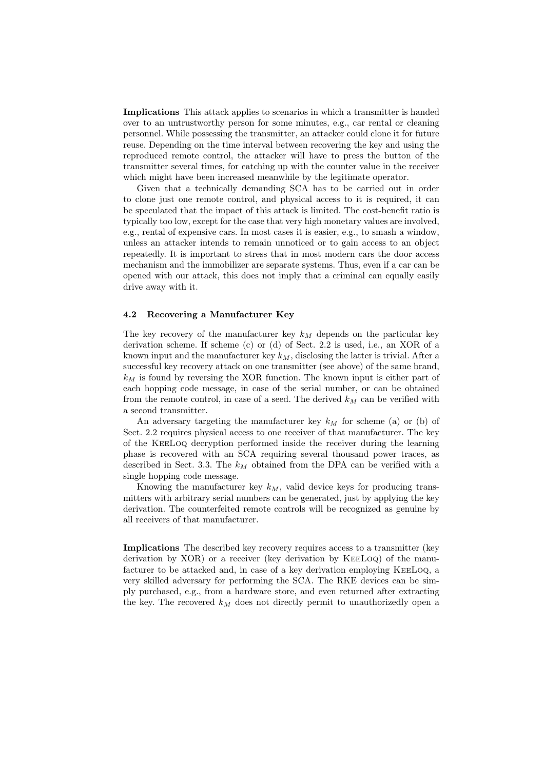Implications This attack applies to scenarios in which a transmitter is handed over to an untrustworthy person for some minutes, e.g., car rental or cleaning personnel. While possessing the transmitter, an attacker could clone it for future reuse. Depending on the time interval between recovering the key and using the reproduced remote control, the attacker will have to press the button of the transmitter several times, for catching up with the counter value in the receiver which might have been increased meanwhile by the legitimate operator.

Given that a technically demanding SCA has to be carried out in order to clone just one remote control, and physical access to it is required, it can be speculated that the impact of this attack is limited. The cost-benefit ratio is typically too low, except for the case that very high monetary values are involved, e.g., rental of expensive cars. In most cases it is easier, e.g., to smash a window, unless an attacker intends to remain unnoticed or to gain access to an object repeatedly. It is important to stress that in most modern cars the door access mechanism and the immobilizer are separate systems. Thus, even if a car can be opened with our attack, this does not imply that a criminal can equally easily drive away with it.

# 4.2 Recovering a Manufacturer Key

The key recovery of the manufacturer key  $k_M$  depends on the particular key derivation scheme. If scheme (c) or (d) of Sect. 2.2 is used, i.e., an XOR of a known input and the manufacturer key  $k_M$ , disclosing the latter is trivial. After a successful key recovery attack on one transmitter (see above) of the same brand,  $k_M$  is found by reversing the XOR function. The known input is either part of each hopping code message, in case of the serial number, or can be obtained from the remote control, in case of a seed. The derived  $k_M$  can be verified with a second transmitter.

An adversary targeting the manufacturer key  $k_M$  for scheme (a) or (b) of Sect. 2.2 requires physical access to one receiver of that manufacturer. The key of the KeeLoq decryption performed inside the receiver during the learning phase is recovered with an SCA requiring several thousand power traces, as described in Sect. 3.3. The  $k_M$  obtained from the DPA can be verified with a single hopping code message.

Knowing the manufacturer key  $k_M$ , valid device keys for producing transmitters with arbitrary serial numbers can be generated, just by applying the key derivation. The counterfeited remote controls will be recognized as genuine by all receivers of that manufacturer.

Implications The described key recovery requires access to a transmitter (key derivation by XOR) or a receiver (key derivation by KeeLoq) of the manufacturer to be attacked and, in case of a key derivation employing KeeLoq, a very skilled adversary for performing the SCA. The RKE devices can be simply purchased, e.g., from a hardware store, and even returned after extracting the key. The recovered  $k_M$  does not directly permit to unauthorizedly open a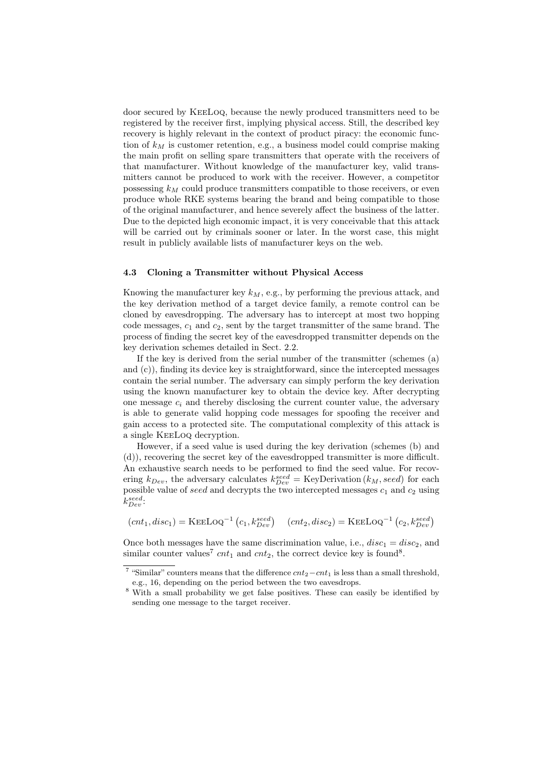door secured by KeeLoq, because the newly produced transmitters need to be registered by the receiver first, implying physical access. Still, the described key recovery is highly relevant in the context of product piracy: the economic function of  $k_M$  is customer retention, e.g., a business model could comprise making the main profit on selling spare transmitters that operate with the receivers of that manufacturer. Without knowledge of the manufacturer key, valid transmitters cannot be produced to work with the receiver. However, a competitor possessing  $k_M$  could produce transmitters compatible to those receivers, or even produce whole RKE systems bearing the brand and being compatible to those of the original manufacturer, and hence severely affect the business of the latter. Due to the depicted high economic impact, it is very conceivable that this attack will be carried out by criminals sooner or later. In the worst case, this might result in publicly available lists of manufacturer keys on the web.

# 4.3 Cloning a Transmitter without Physical Access

Knowing the manufacturer key  $k_M$ , e.g., by performing the previous attack, and the key derivation method of a target device family, a remote control can be cloned by eavesdropping. The adversary has to intercept at most two hopping code messages,  $c_1$  and  $c_2$ , sent by the target transmitter of the same brand. The process of finding the secret key of the eavesdropped transmitter depends on the key derivation schemes detailed in Sect. 2.2.

If the key is derived from the serial number of the transmitter (schemes (a) and (c)), finding its device key is straightforward, since the intercepted messages contain the serial number. The adversary can simply perform the key derivation using the known manufacturer key to obtain the device key. After decrypting one message  $c_i$  and thereby disclosing the current counter value, the adversary is able to generate valid hopping code messages for spoofing the receiver and gain access to a protected site. The computational complexity of this attack is a single KeeLoq decryption.

However, if a seed value is used during the key derivation (schemes (b) and (d)), recovering the secret key of the eavesdropped transmitter is more difficult. An exhaustive search needs to be performed to find the seed value. For recovering  $k_{Dev}$ , the adversary calculates  $k_{Dev}^{seed} = \text{KeyDerivation}(k_M, seed)$  for each possible value of seed and decrypts the two intercepted messages  $c_1$  and  $c_2$  using  $k_{Dev}^{seed}$ 

$$
(cnt_1, disc_1) = \text{KEELog}^{-1} (c_1, k_{Dev}^{seed}) \quad (cnt_2, disc_2) = \text{KEELog}^{-1} (c_2, k_{Dev}^{seed})
$$

Once both messages have the same discrimination value, i.e.,  $disc_1 = disc_2$ , and similar counter values<sup>7</sup>  $cnt_1$  and  $cnt_2$ , the correct device key is found<sup>8</sup>.

<sup>&</sup>lt;sup>7</sup> "Similar" counters means that the difference  $cnt_2-cnt_1$  is less than a small threshold, e.g., 16, depending on the period between the two eavesdrops.

<sup>8</sup> With a small probability we get false positives. These can easily be identified by sending one message to the target receiver.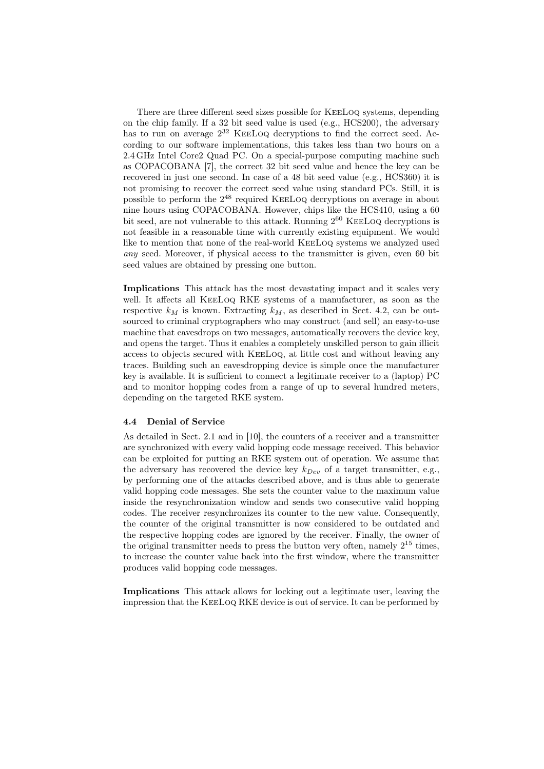There are three different seed sizes possible for KeeLoq systems, depending on the chip family. If a 32 bit seed value is used (e.g., HCS200), the adversary has to run on average  $2^{32}$  KEELOQ decryptions to find the correct seed. According to our software implementations, this takes less than two hours on a 2.4 GHz Intel Core2 Quad PC. On a special-purpose computing machine such as COPACOBANA [7], the correct 32 bit seed value and hence the key can be recovered in just one second. In case of a 48 bit seed value (e.g., HCS360) it is not promising to recover the correct seed value using standard PCs. Still, it is possible to perform the 2 <sup>48</sup> required KeeLoq decryptions on average in about nine hours using COPACOBANA. However, chips like the HCS410, using a 60 bit seed, are not vulnerable to this attack. Running  $2^{60}$  KEELOQ decryptions is not feasible in a reasonable time with currently existing equipment. We would like to mention that none of the real-world KeeLoq systems we analyzed used any seed. Moreover, if physical access to the transmitter is given, even 60 bit seed values are obtained by pressing one button.

Implications This attack has the most devastating impact and it scales very well. It affects all KeeLoq RKE systems of a manufacturer, as soon as the respective  $k_M$  is known. Extracting  $k_M$ , as described in Sect. 4.2, can be outsourced to criminal cryptographers who may construct (and sell) an easy-to-use machine that eavesdrops on two messages, automatically recovers the device key, and opens the target. Thus it enables a completely unskilled person to gain illicit access to objects secured with KeeLoq, at little cost and without leaving any traces. Building such an eavesdropping device is simple once the manufacturer key is available. It is sufficient to connect a legitimate receiver to a (laptop) PC and to monitor hopping codes from a range of up to several hundred meters, depending on the targeted RKE system.

# 4.4 Denial of Service

As detailed in Sect. 2.1 and in [10], the counters of a receiver and a transmitter are synchronized with every valid hopping code message received. This behavior can be exploited for putting an RKE system out of operation. We assume that the adversary has recovered the device key  $k_{Dev}$  of a target transmitter, e.g., by performing one of the attacks described above, and is thus able to generate valid hopping code messages. She sets the counter value to the maximum value inside the resynchronization window and sends two consecutive valid hopping codes. The receiver resynchronizes its counter to the new value. Consequently, the counter of the original transmitter is now considered to be outdated and the respective hopping codes are ignored by the receiver. Finally, the owner of the original transmitter needs to press the button very often, namely  $2^{15}$  times, to increase the counter value back into the first window, where the transmitter produces valid hopping code messages.

Implications This attack allows for locking out a legitimate user, leaving the impression that the KeeLoq RKE device is out of service. It can be performed by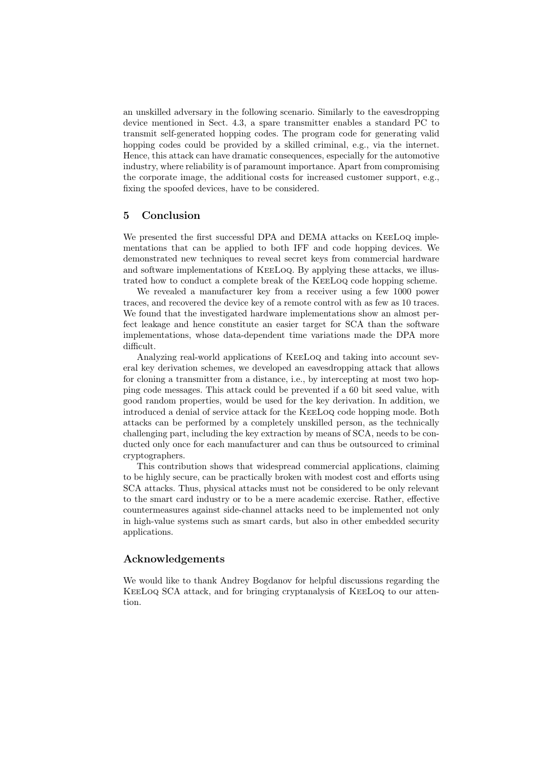an unskilled adversary in the following scenario. Similarly to the eavesdropping device mentioned in Sect. 4.3, a spare transmitter enables a standard PC to transmit self-generated hopping codes. The program code for generating valid hopping codes could be provided by a skilled criminal, e.g., via the internet. Hence, this attack can have dramatic consequences, especially for the automotive industry, where reliability is of paramount importance. Apart from compromising the corporate image, the additional costs for increased customer support, e.g., fixing the spoofed devices, have to be considered.

# 5 Conclusion

We presented the first successful DPA and DEMA attacks on KEELOQ implementations that can be applied to both IFF and code hopping devices. We demonstrated new techniques to reveal secret keys from commercial hardware and software implementations of KeeLoq. By applying these attacks, we illustrated how to conduct a complete break of the KeeLoq code hopping scheme.

We revealed a manufacturer key from a receiver using a few 1000 power traces, and recovered the device key of a remote control with as few as 10 traces. We found that the investigated hardware implementations show an almost perfect leakage and hence constitute an easier target for SCA than the software implementations, whose data-dependent time variations made the DPA more difficult.

Analyzing real-world applications of KeeLoq and taking into account several key derivation schemes, we developed an eavesdropping attack that allows for cloning a transmitter from a distance, i.e., by intercepting at most two hopping code messages. This attack could be prevented if a 60 bit seed value, with good random properties, would be used for the key derivation. In addition, we introduced a denial of service attack for the KeeLoq code hopping mode. Both attacks can be performed by a completely unskilled person, as the technically challenging part, including the key extraction by means of SCA, needs to be conducted only once for each manufacturer and can thus be outsourced to criminal cryptographers.

This contribution shows that widespread commercial applications, claiming to be highly secure, can be practically broken with modest cost and efforts using SCA attacks. Thus, physical attacks must not be considered to be only relevant to the smart card industry or to be a mere academic exercise. Rather, effective countermeasures against side-channel attacks need to be implemented not only in high-value systems such as smart cards, but also in other embedded security applications.

# Acknowledgements

We would like to thank Andrey Bogdanov for helpful discussions regarding the KeeLoq SCA attack, and for bringing cryptanalysis of KeeLoq to our attention.